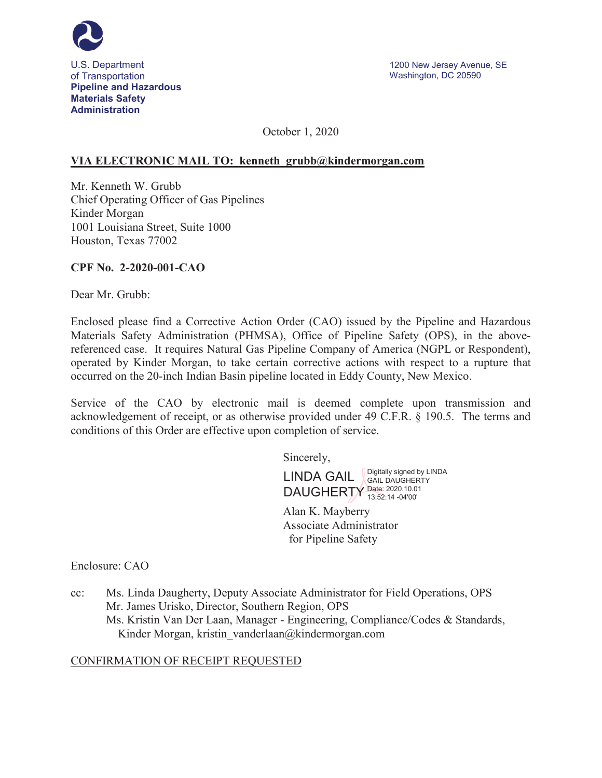

October 1, 2020

### **VIA ELECTRONIC MAIL TO: kenneth\_grubb@kindermorgan.com**

Mr. Kenneth W. Grubb Chief Operating Officer of Gas Pipelines Kinder Morgan 1001 Louisiana Street, Suite 1000 Houston, Texas 77002

### **CPF No. 2-2020-001-CAO**

Dear Mr. Grubb:

Enclosed please find a Corrective Action Order (CAO) issued by the Pipeline and Hazardous Materials Safety Administration (PHMSA), Office of Pipeline Safety (OPS), in the abovereferenced case. It requires Natural Gas Pipeline Company of America (NGPL or Respondent), operated by Kinder Morgan, to take certain corrective actions with respect to a rupture that occurred on the 20-inch Indian Basin pipeline located in Eddy County, New Mexico.

Service of the CAO by electronic mail is deemed complete upon transmission and acknowledgement of receipt, or as otherwise provided under 49 C.F.R. § 190.5. The terms and conditions of this Order are effective upon completion of service.

Sincerely,

LINDA GAIL Signally signed by LINDA DAUGHERTY Date: 2020.10.01 GAIL DAUGHERTY 13:52:14 -04'00'

Alan K. Mayberry Associate Administrator for Pipeline Safety

Enclosure: CAO

cc: Ms. Linda Daugherty, Deputy Associate Administrator for Field Operations, OPS Mr. James Urisko, Director, Southern Region, OPS Ms. Kristin Van Der Laan, Manager - Engineering, Compliance/Codes & Standards, Kinder Morgan, kristin\_vanderlaan@kindermorgan.com

## CONFIRMATION OF RECEIPT REQUESTED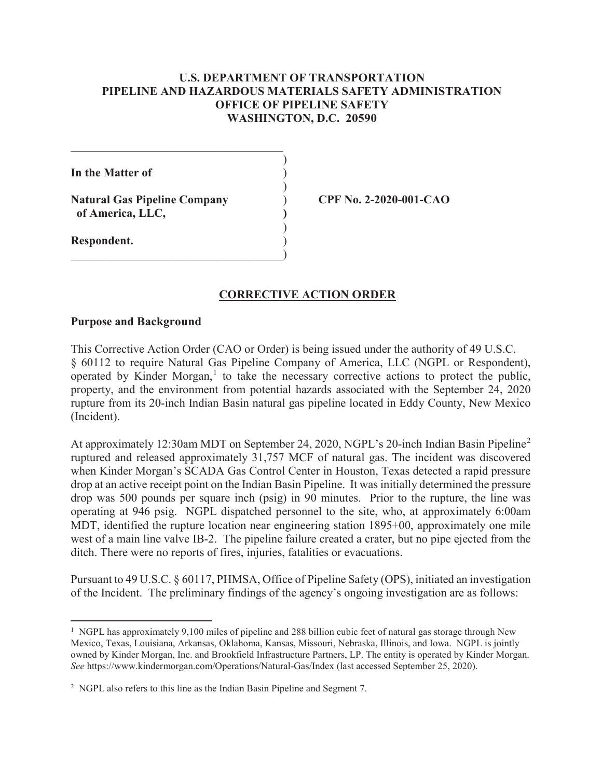## **U.S. DEPARTMENT OF TRANSPORTATION PIPELINE AND HAZARDOUS MATERIALS SAFETY ADMINISTRATION OFFICE OF PIPELINE SAFETY WASHINGTON, D.C. 20590**

)

 $\mathcal{L}$ 

 $\overline{)}$ 

**In the Matter of** )

**Natural Gas Pipeline Company** ) **CPF No. 2-2020-001-CAO of America, LLC, )**

 $\qquad \qquad \qquad \qquad \qquad \qquad \qquad$ 

**Respondent.** )

# **CORRECTIVE ACTION ORDER**

### **Purpose and Background**

This Corrective Action Order (CAO or Order) is being issued under the authority of 49 U.S.C. § 60112 to require Natural Gas Pipeline Company of America, LLC (NGPL or Respondent), operated by Kinder Morgan,<sup>1</sup> to take the necessary corrective actions to protect the public, property, and the environment from potential hazards associated with the September 24, 2020 rupture from its 20-inch Indian Basin natural gas pipeline located in Eddy County, New Mexico (Incident).

At approximately 12:30am MDT on September 24, 2020, NGPL's 20-inch Indian Basin Pipeline<sup>2</sup> ruptured and released approximately 31,757 MCF of natural gas. The incident was discovered when Kinder Morgan's SCADA Gas Control Center in Houston, Texas detected a rapid pressure drop at an active receipt point on the Indian Basin Pipeline. It was initially determined the pressure drop was 500 pounds per square inch (psig) in 90 minutes. Prior to the rupture, the line was operating at 946 psig. NGPL dispatched personnel to the site, who, at approximately 6:00am MDT, identified the rupture location near engineering station 1895+00, approximately one mile west of a main line valve IB-2. The pipeline failure created a crater, but no pipe ejected from the ditch. There were no reports of fires, injuries, fatalities or evacuations.

Pursuant to 49 U.S.C. § 60117, PHMSA, Office of Pipeline Safety (OPS), initiated an investigation of the Incident. The preliminary findings of the agency's ongoing investigation are as follows:

<sup>&</sup>lt;sup>1</sup> NGPL has approximately 9,100 miles of pipeline and 288 billion cubic feet of natural gas storage through New Mexico, Texas, Louisiana, Arkansas, Oklahoma, Kansas, Missouri, Nebraska, Illinois, and Iowa. NGPL is jointly owned by Kinder Morgan, Inc. and Brookfield Infrastructure Partners, LP. The entity is operated by Kinder Morgan. *See* https://www.kindermorgan.com/Operations/Natural-Gas/Index (last accessed September 25, 2020).

<sup>&</sup>lt;sup>2</sup> NGPL also refers to this line as the Indian Basin Pipeline and Segment 7.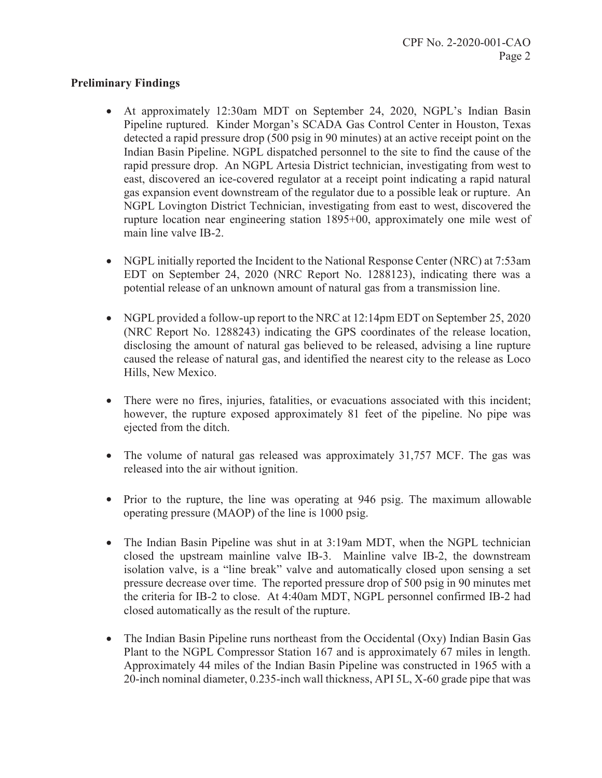## **Preliminary Findings**

- At approximately 12:30am MDT on September 24, 2020, NGPL's Indian Basin Pipeline ruptured. Kinder Morgan's SCADA Gas Control Center in Houston, Texas detected a rapid pressure drop (500 psig in 90 minutes) at an active receipt point on the Indian Basin Pipeline. NGPL dispatched personnel to the site to find the cause of the rapid pressure drop. An NGPL Artesia District technician, investigating from west to east, discovered an ice-covered regulator at a receipt point indicating a rapid natural gas expansion event downstream of the regulator due to a possible leak or rupture. An NGPL Lovington District Technician, investigating from east to west, discovered the rupture location near engineering station 1895+00, approximately one mile west of main line valve IB-2.
- NGPL initially reported the Incident to the National Response Center (NRC) at 7:53am EDT on September 24, 2020 (NRC Report No. 1288123), indicating there was a potential release of an unknown amount of natural gas from a transmission line.
- NGPL provided a follow-up report to the NRC at 12:14pm EDT on September 25, 2020 (NRC Report No. 1288243) indicating the GPS coordinates of the release location, disclosing the amount of natural gas believed to be released, advising a line rupture caused the release of natural gas, and identified the nearest city to the release as Loco Hills, New Mexico.
- There were no fires, injuries, fatalities, or evacuations associated with this incident; however, the rupture exposed approximately 81 feet of the pipeline. No pipe was ejected from the ditch.
- The volume of natural gas released was approximately  $31,757$  MCF. The gas was released into the air without ignition.
- Prior to the rupture, the line was operating at 946 psig. The maximum allowable operating pressure (MAOP) of the line is 1000 psig.
- The Indian Basin Pipeline was shut in at  $3:19$ am MDT, when the NGPL technician closed the upstream mainline valve IB-3. Mainline valve IB-2, the downstream isolation valve, is a "line break" valve and automatically closed upon sensing a set pressure decrease over time. The reported pressure drop of 500 psig in 90 minutes met the criteria for IB-2 to close. At 4:40am MDT, NGPL personnel confirmed IB-2 had closed automatically as the result of the rupture.
- The Indian Basin Pipeline runs northeast from the Occidental (Oxy) Indian Basin Gas Plant to the NGPL Compressor Station 167 and is approximately 67 miles in length. Approximately 44 miles of the Indian Basin Pipeline was constructed in 1965 with a 20-inch nominal diameter, 0.235-inch wall thickness, API 5L, X-60 grade pipe that was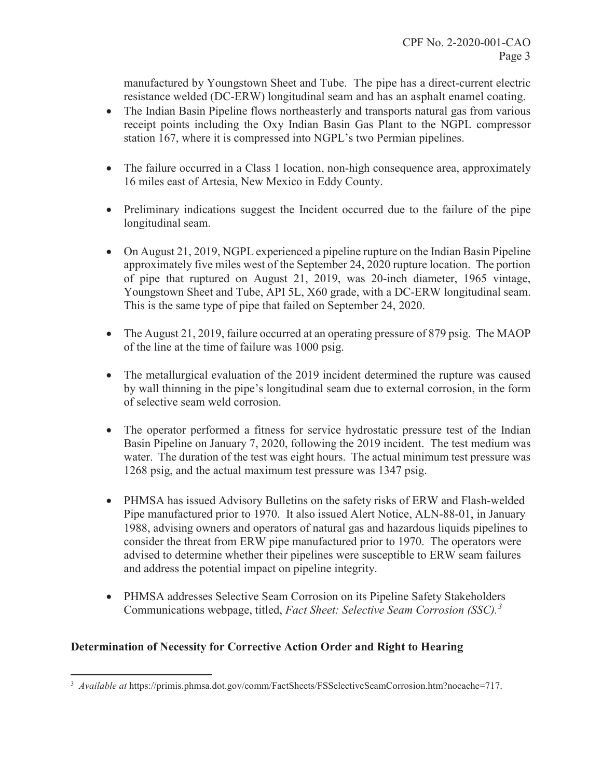manufactured by Youngstown Sheet and Tube. The pipe has a direct-current electric resistance welded (DC-ERW) longitudinal seam and has an asphalt enamel coating.

- The Indian Basin Pipeline flows northeasterly and transports natural gas from various receipt points including the Oxy Indian Basin Gas Plant to the NGPL compressor station 167, where it is compressed into NGPL's two Permian pipelines.
- The failure occurred in a Class 1 location, non-high consequence area, approximately 16 miles east of Artesia, New Mexico in Eddy County.
- Preliminary indications suggest the Incident occurred due to the failure of the pipe longitudinal seam.
- On August 21, 2019, NGPL experienced a pipeline rupture on the Indian Basin Pipeline approximately five miles west of the September 24, 2020 rupture location. The portion of pipe that ruptured on August 21, 2019, was 20-inch diameter, 1965 vintage, Youngstown Sheet and Tube, API 5L, X60 grade, with a DC-ERW longitudinal seam. This is the same type of pipe that failed on September 24, 2020.
- The August 21, 2019, failure occurred at an operating pressure of 879 psig. The MAOP of the line at the time of failure was 1000 psig.
- The metallurgical evaluation of the 2019 incident determined the rupture was caused by wall thinning in the pipe's longitudinal seam due to external corrosion, in the form of selective seam weld corrosion.
- The operator performed a fitness for service hydrostatic pressure test of the Indian Basin Pipeline on January 7, 2020, following the 2019 incident. The test medium was water. The duration of the test was eight hours. The actual minimum test pressure was 1268 psig, and the actual maximum test pressure was 1347 psig.
- PHMSA has issued Advisory Bulletins on the safety risks of ERW and Flash-welded Pipe manufactured prior to 1970. It also issued Alert Notice, ALN-88-01, in January 1988, advising owners and operators of natural gas and hazardous liquids pipelines to consider the threat from ERW pipe manufactured prior to 1970. The operators were advised to determine whether their pipelines were susceptible to ERW seam failures and address the potential impact on pipeline integrity.
- PHMSA addresses Selective Seam Corrosion on its Pipeline Safety Stakeholders Communications webpage, titled, *Fact Sheet: Selective Seam Corrosion (SSC).<sup>3</sup>*

# **Determination of Necessity for Corrective Action Order and Right to Hearing**

 $\overline{a}$ 

<sup>&</sup>lt;sup>3</sup> Available at https://primis.phmsa.dot.gov/comm/FactSheets/FSSelectiveSeamCorrosion.htm?nocache=717.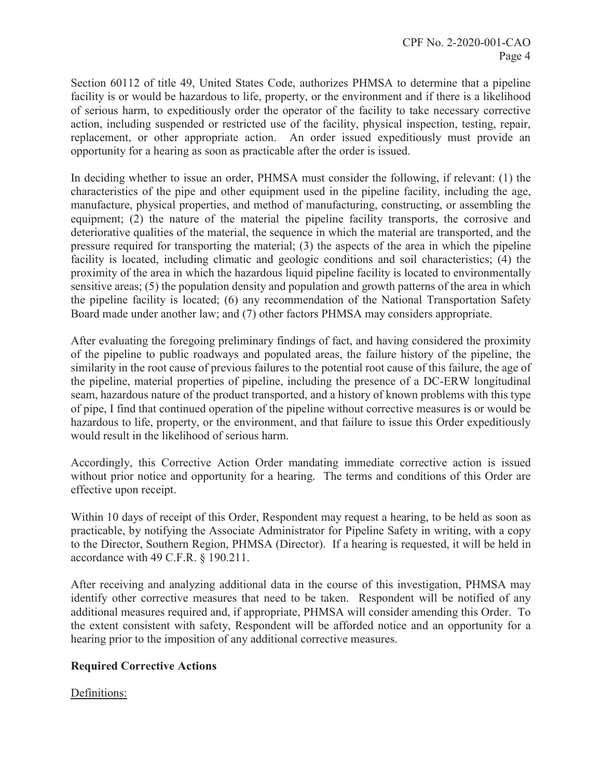Section 60112 of title 49, United States Code, authorizes PHMSA to determine that a pipeline facility is or would be hazardous to life, property, or the environment and if there is a likelihood of serious harm, to expeditiously order the operator of the facility to take necessary corrective action, including suspended or restricted use of the facility, physical inspection, testing, repair, replacement, or other appropriate action. An order issued expeditiously must provide an opportunity for a hearing as soon as practicable after the order is issued.

In deciding whether to issue an order, PHMSA must consider the following, if relevant: (1) the characteristics of the pipe and other equipment used in the pipeline facility, including the age, manufacture, physical properties, and method of manufacturing, constructing, or assembling the equipment; (2) the nature of the material the pipeline facility transports, the corrosive and deteriorative qualities of the material, the sequence in which the material are transported, and the pressure required for transporting the material; (3) the aspects of the area in which the pipeline facility is located, including climatic and geologic conditions and soil characteristics; (4) the proximity of the area in which the hazardous liquid pipeline facility is located to environmentally sensitive areas; (5) the population density and population and growth patterns of the area in which the pipeline facility is located; (6) any recommendation of the National Transportation Safety Board made under another law; and (7) other factors PHMSA may considers appropriate.

After evaluating the foregoing preliminary findings of fact, and having considered the proximity of the pipeline to public roadways and populated areas, the failure history of the pipeline, the similarity in the root cause of previous failures to the potential root cause of this failure, the age of the pipeline, material properties of pipeline, including the presence of a DC-ERW longitudinal seam, hazardous nature of the product transported, and a history of known problems with this type of pipe, I find that continued operation of the pipeline without corrective measures is or would be hazardous to life, property, or the environment, and that failure to issue this Order expeditiously would result in the likelihood of serious harm.

Accordingly, this Corrective Action Order mandating immediate corrective action is issued without prior notice and opportunity for a hearing. The terms and conditions of this Order are effective upon receipt.

Within 10 days of receipt of this Order, Respondent may request a hearing, to be held as soon as practicable, by notifying the Associate Administrator for Pipeline Safety in writing, with a copy to the Director, Southern Region, PHMSA (Director). If a hearing is requested, it will be held in accordance with 49 C.F.R. § 190.211.

After receiving and analyzing additional data in the course of this investigation, PHMSA may identify other corrective measures that need to be taken. Respondent will be notified of any additional measures required and, if appropriate, PHMSA will consider amending this Order. To the extent consistent with safety, Respondent will be afforded notice and an opportunity for a hearing prior to the imposition of any additional corrective measures.

# **Required Corrective Actions**

## Definitions: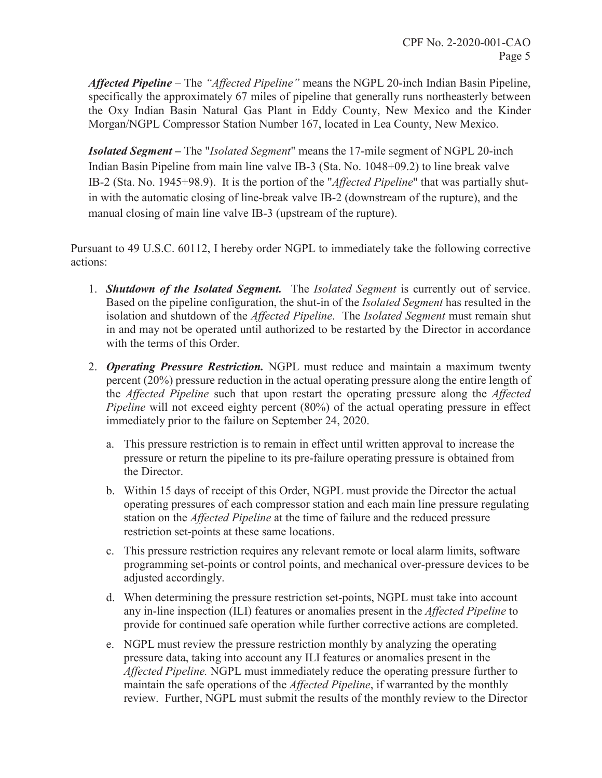*Affected Pipeline* – The *"Affected Pipeline"* means the NGPL 20-inch Indian Basin Pipeline, specifically the approximately 67 miles of pipeline that generally runs northeasterly between the Oxy Indian Basin Natural Gas Plant in Eddy County, New Mexico and the Kinder Morgan/NGPL Compressor Station Number 167, located in Lea County, New Mexico.

*Isolated Segment –* The "*Isolated Segment*" means the 17-mile segment of NGPL 20-inch Indian Basin Pipeline from main line valve IB-3 (Sta. No. 1048+09.2) to line break valve IB-2 (Sta. No. 1945+98.9). It is the portion of the "*Affected Pipeline*" that was partially shutin with the automatic closing of line-break valve IB-2 (downstream of the rupture), and the manual closing of main line valve IB-3 (upstream of the rupture).

Pursuant to 49 U.S.C. 60112, I hereby order NGPL to immediately take the following corrective actions:

- 1. *Shutdown of the Isolated Segment.* The *Isolated Segment* is currently out of service. Based on the pipeline configuration, the shut-in of the *Isolated Segment* has resulted in the isolation and shutdown of the *Affected Pipeline*. The *Isolated Segment* must remain shut in and may not be operated until authorized to be restarted by the Director in accordance with the terms of this Order.
- 2. *Operating Pressure Restriction.* NGPL must reduce and maintain a maximum twenty percent (20%) pressure reduction in the actual operating pressure along the entire length of the *Affected Pipeline* such that upon restart the operating pressure along the *Affected Pipeline* will not exceed eighty percent (80%) of the actual operating pressure in effect immediately prior to the failure on September 24, 2020.
	- a. This pressure restriction is to remain in effect until written approval to increase the pressure or return the pipeline to its pre-failure operating pressure is obtained from the Director.
	- b. Within 15 days of receipt of this Order, NGPL must provide the Director the actual operating pressures of each compressor station and each main line pressure regulating station on the *Affected Pipeline* at the time of failure and the reduced pressure restriction set-points at these same locations.
	- c. This pressure restriction requires any relevant remote or local alarm limits, software programming set-points or control points, and mechanical over-pressure devices to be adjusted accordingly.
	- d. When determining the pressure restriction set-points, NGPL must take into account any in-line inspection (ILI) features or anomalies present in the *Affected Pipeline* to provide for continued safe operation while further corrective actions are completed.
	- e. NGPL must review the pressure restriction monthly by analyzing the operating pressure data, taking into account any ILI features or anomalies present in the *Affected Pipeline.* NGPL must immediately reduce the operating pressure further to maintain the safe operations of the *Affected Pipeline*, if warranted by the monthly review. Further, NGPL must submit the results of the monthly review to the Director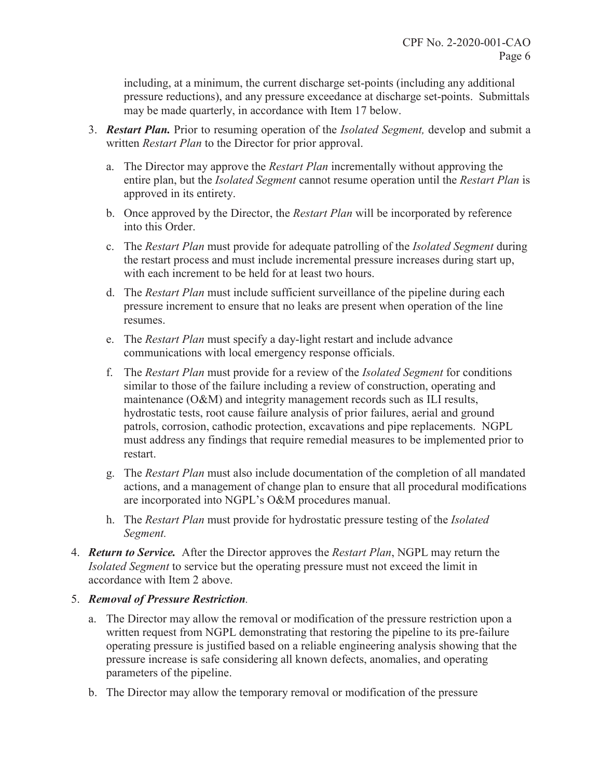including, at a minimum, the current discharge set-points (including any additional pressure reductions), and any pressure exceedance at discharge set-points. Submittals may be made quarterly, in accordance with Item 17 below.

- 3. *Restart Plan.* Prior to resuming operation of the *Isolated Segment,* develop and submit a written *Restart Plan* to the Director for prior approval.
	- a. The Director may approve the *Restart Plan* incrementally without approving the entire plan, but the *Isolated Segment* cannot resume operation until the *Restart Plan* is approved in its entirety.
	- b. Once approved by the Director, the *Restart Plan* will be incorporated by reference into this Order.
	- c. The *Restart Plan* must provide for adequate patrolling of the *Isolated Segment* during the restart process and must include incremental pressure increases during start up, with each increment to be held for at least two hours.
	- d. The *Restart Plan* must include sufficient surveillance of the pipeline during each pressure increment to ensure that no leaks are present when operation of the line resumes.
	- e. The *Restart Plan* must specify a day-light restart and include advance communications with local emergency response officials.
	- f. The *Restart Plan* must provide for a review of the *Isolated Segment* for conditions similar to those of the failure including a review of construction, operating and maintenance (O&M) and integrity management records such as ILI results, hydrostatic tests, root cause failure analysis of prior failures, aerial and ground patrols, corrosion, cathodic protection, excavations and pipe replacements. NGPL must address any findings that require remedial measures to be implemented prior to restart.
	- g. The *Restart Plan* must also include documentation of the completion of all mandated actions, and a management of change plan to ensure that all procedural modifications are incorporated into NGPL's O&M procedures manual.
	- h. The *Restart Plan* must provide for hydrostatic pressure testing of the *Isolated Segment.*
- 4. *Return to Service.* After the Director approves the *Restart Plan*, NGPL may return the *Isolated Segment* to service but the operating pressure must not exceed the limit in accordance with Item 2 above.

# 5. *Removal of Pressure Restriction.*

- a. The Director may allow the removal or modification of the pressure restriction upon a written request from NGPL demonstrating that restoring the pipeline to its pre-failure operating pressure is justified based on a reliable engineering analysis showing that the pressure increase is safe considering all known defects, anomalies, and operating parameters of the pipeline.
- b. The Director may allow the temporary removal or modification of the pressure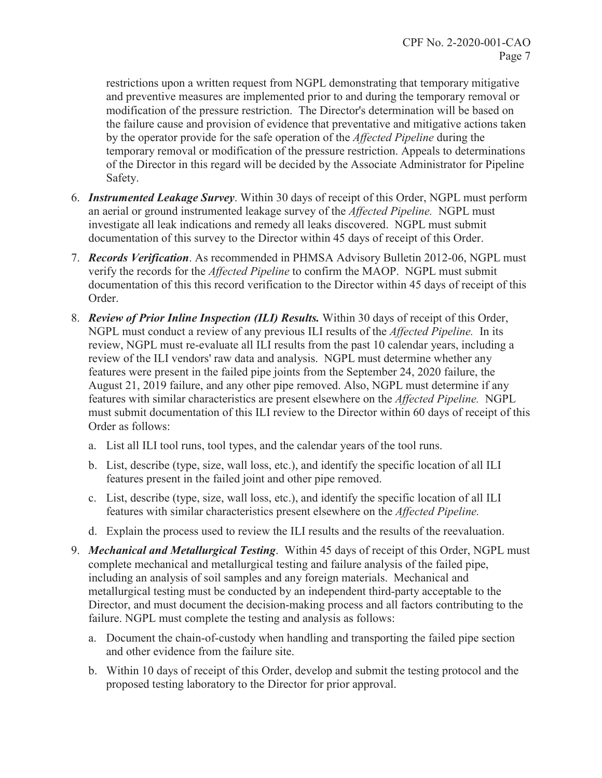restrictions upon a written request from NGPL demonstrating that temporary mitigative and preventive measures are implemented prior to and during the temporary removal or modification of the pressure restriction. The Director's determination will be based on the failure cause and provision of evidence that preventative and mitigative actions taken by the operator provide for the safe operation of the *Affected Pipeline* during the temporary removal or modification of the pressure restriction. Appeals to determinations of the Director in this regard will be decided by the Associate Administrator for Pipeline Safety.

- 6. *Instrumented Leakage Survey*. Within 30 days of receipt of this Order, NGPL must perform an aerial or ground instrumented leakage survey of the *Affected Pipeline.* NGPL must investigate all leak indications and remedy all leaks discovered. NGPL must submit documentation of this survey to the Director within 45 days of receipt of this Order.
- 7. *Records Verification*. As recommended in PHMSA Advisory Bulletin 2012-06, NGPL must verify the records for the *Affected Pipeline* to confirm the MAOP. NGPL must submit documentation of this this record verification to the Director within 45 days of receipt of this Order.
- 8. *Review of Prior Inline Inspection (ILI) Results.* Within 30 days of receipt of this Order, NGPL must conduct a review of any previous ILI results of the *Affected Pipeline.* In its review, NGPL must re-evaluate all ILI results from the past 10 calendar years, including a review of the ILI vendors' raw data and analysis. NGPL must determine whether any features were present in the failed pipe joints from the September 24, 2020 failure, the August 21, 2019 failure, and any other pipe removed. Also, NGPL must determine if any features with similar characteristics are present elsewhere on the *Affected Pipeline.* NGPL must submit documentation of this ILI review to the Director within 60 days of receipt of this Order as follows:
	- a. List all ILI tool runs, tool types, and the calendar years of the tool runs.
	- b. List, describe (type, size, wall loss, etc.), and identify the specific location of all ILI features present in the failed joint and other pipe removed.
	- c. List, describe (type, size, wall loss, etc.), and identify the specific location of all ILI features with similar characteristics present elsewhere on the *Affected Pipeline.*
	- d. Explain the process used to review the ILI results and the results of the reevaluation.
- 9. *Mechanical and Metallurgical Testing*. Within 45 days of receipt of this Order, NGPL must complete mechanical and metallurgical testing and failure analysis of the failed pipe, including an analysis of soil samples and any foreign materials. Mechanical and metallurgical testing must be conducted by an independent third-party acceptable to the Director, and must document the decision-making process and all factors contributing to the failure. NGPL must complete the testing and analysis as follows:
	- a. Document the chain-of-custody when handling and transporting the failed pipe section and other evidence from the failure site.
	- b. Within 10 days of receipt of this Order, develop and submit the testing protocol and the proposed testing laboratory to the Director for prior approval.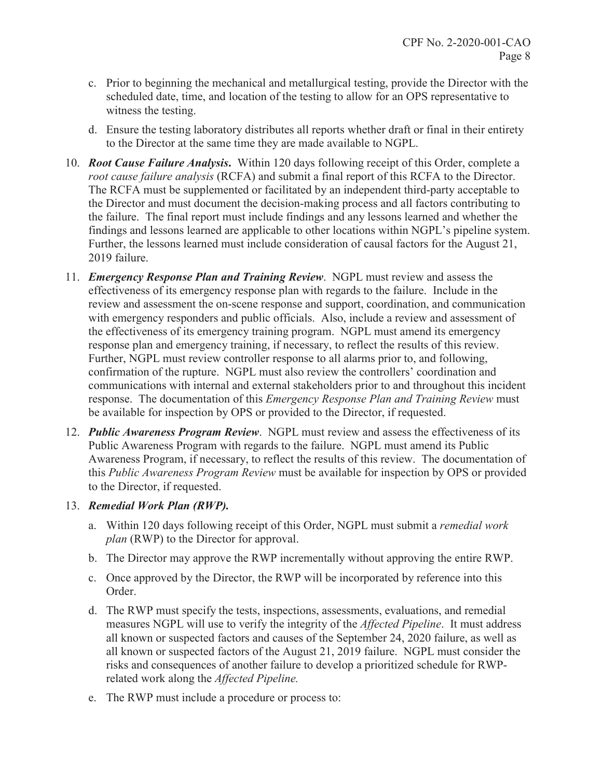- c. Prior to beginning the mechanical and metallurgical testing, provide the Director with the scheduled date, time, and location of the testing to allow for an OPS representative to witness the testing.
- d. Ensure the testing laboratory distributes all reports whether draft or final in their entirety to the Director at the same time they are made available to NGPL.
- 10. *Root Cause Failure Analysis***.** Within 120 days following receipt of this Order, complete a *root cause failure analysis* (RCFA) and submit a final report of this RCFA to the Director. The RCFA must be supplemented or facilitated by an independent third-party acceptable to the Director and must document the decision-making process and all factors contributing to the failure. The final report must include findings and any lessons learned and whether the findings and lessons learned are applicable to other locations within NGPL's pipeline system. Further, the lessons learned must include consideration of causal factors for the August 21, 2019 failure.
- 11. *Emergency Response Plan and Training Review*. NGPL must review and assess the effectiveness of its emergency response plan with regards to the failure. Include in the review and assessment the on-scene response and support, coordination, and communication with emergency responders and public officials. Also, include a review and assessment of the effectiveness of its emergency training program. NGPL must amend its emergency response plan and emergency training, if necessary, to reflect the results of this review. Further, NGPL must review controller response to all alarms prior to, and following, confirmation of the rupture. NGPL must also review the controllers' coordination and communications with internal and external stakeholders prior to and throughout this incident response. The documentation of this *Emergency Response Plan and Training Review* must be available for inspection by OPS or provided to the Director, if requested.
- 12. *Public Awareness Program Review*. NGPL must review and assess the effectiveness of its Public Awareness Program with regards to the failure. NGPL must amend its Public Awareness Program, if necessary, to reflect the results of this review. The documentation of this *Public Awareness Program Review* must be available for inspection by OPS or provided to the Director, if requested.

## 13. *Remedial Work Plan (RWP).*

- a. Within 120 days following receipt of this Order, NGPL must submit a *remedial work plan* (RWP) to the Director for approval.
- b. The Director may approve the RWP incrementally without approving the entire RWP.
- c. Once approved by the Director, the RWP will be incorporated by reference into this Order.
- d. The RWP must specify the tests, inspections, assessments, evaluations, and remedial measures NGPL will use to verify the integrity of the *Affected Pipeline*. It must address all known or suspected factors and causes of the September 24, 2020 failure, as well as all known or suspected factors of the August 21, 2019 failure. NGPL must consider the risks and consequences of another failure to develop a prioritized schedule for RWPrelated work along the *Affected Pipeline.*
- e. The RWP must include a procedure or process to: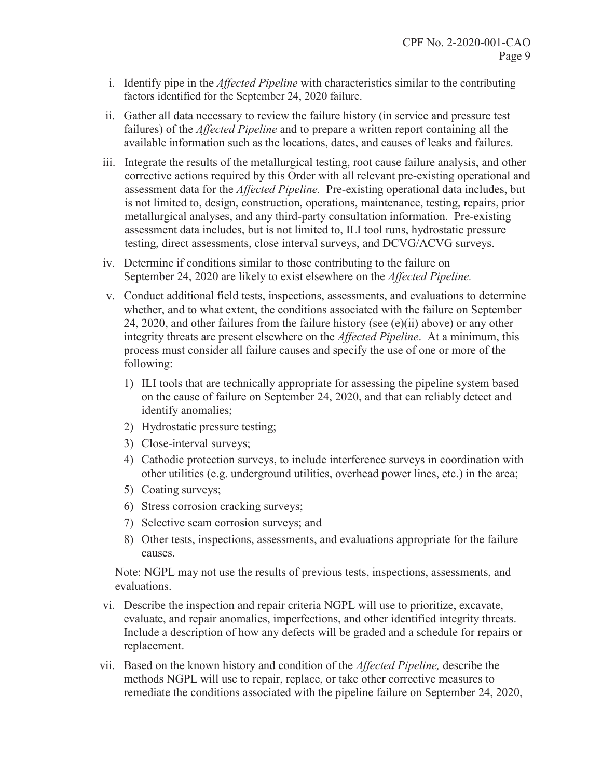- i. Identify pipe in the *Affected Pipeline* with characteristics similar to the contributing factors identified for the September 24, 2020 failure.
- ii. Gather all data necessary to review the failure history (in service and pressure test failures) of the *Affected Pipeline* and to prepare a written report containing all the available information such as the locations, dates, and causes of leaks and failures.
- iii. Integrate the results of the metallurgical testing, root cause failure analysis, and other corrective actions required by this Order with all relevant pre-existing operational and assessment data for the *Affected Pipeline.* Pre-existing operational data includes, but is not limited to, design, construction, operations, maintenance, testing, repairs, prior metallurgical analyses, and any third-party consultation information. Pre-existing assessment data includes, but is not limited to, ILI tool runs, hydrostatic pressure testing, direct assessments, close interval surveys, and DCVG/ACVG surveys.
- iv. Determine if conditions similar to those contributing to the failure on September 24, 2020 are likely to exist elsewhere on the *Affected Pipeline.*
- v. Conduct additional field tests, inspections, assessments, and evaluations to determine whether, and to what extent, the conditions associated with the failure on September 24, 2020, and other failures from the failure history (see  $(e)(ii)$  above) or any other integrity threats are present elsewhere on the *Affected Pipeline*. At a minimum, this process must consider all failure causes and specify the use of one or more of the following:
	- 1) ILI tools that are technically appropriate for assessing the pipeline system based on the cause of failure on September 24, 2020, and that can reliably detect and identify anomalies;
	- 2) Hydrostatic pressure testing;
	- 3) Close-interval surveys;
	- 4) Cathodic protection surveys, to include interference surveys in coordination with other utilities (e.g. underground utilities, overhead power lines, etc.) in the area;
	- 5) Coating surveys;
	- 6) Stress corrosion cracking surveys;
	- 7) Selective seam corrosion surveys; and
	- 8) Other tests, inspections, assessments, and evaluations appropriate for the failure causes.

Note: NGPL may not use the results of previous tests, inspections, assessments, and evaluations.

- vi. Describe the inspection and repair criteria NGPL will use to prioritize, excavate, evaluate, and repair anomalies, imperfections, and other identified integrity threats. Include a description of how any defects will be graded and a schedule for repairs or replacement.
- vii. Based on the known history and condition of the *Affected Pipeline,* describe the methods NGPL will use to repair, replace, or take other corrective measures to remediate the conditions associated with the pipeline failure on September 24, 2020,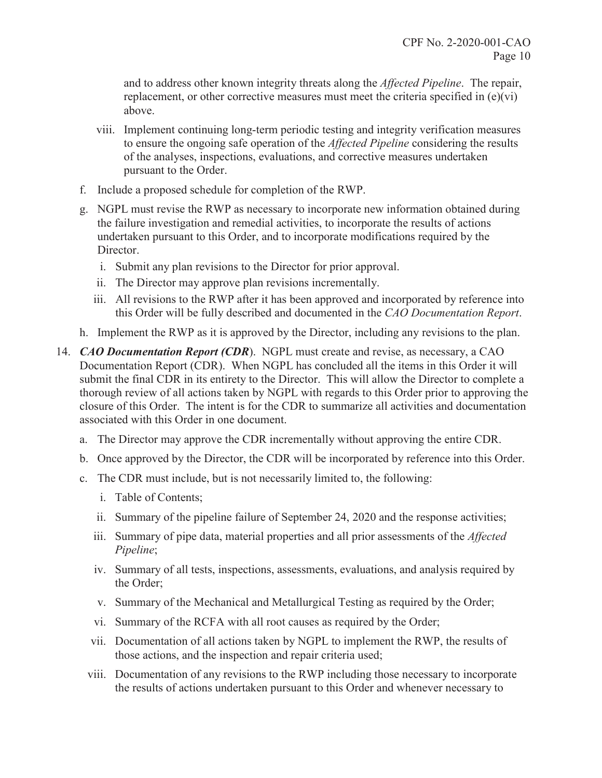and to address other known integrity threats along the *Affected Pipeline*. The repair, replacement, or other corrective measures must meet the criteria specified in (e)(vi) above.

- viii. Implement continuing long-term periodic testing and integrity verification measures to ensure the ongoing safe operation of the *Affected Pipeline* considering the results of the analyses, inspections, evaluations, and corrective measures undertaken pursuant to the Order.
- f. Include a proposed schedule for completion of the RWP.
- g. NGPL must revise the RWP as necessary to incorporate new information obtained during the failure investigation and remedial activities, to incorporate the results of actions undertaken pursuant to this Order, and to incorporate modifications required by the Director.
	- i. Submit any plan revisions to the Director for prior approval.
	- ii. The Director may approve plan revisions incrementally.
	- iii. All revisions to the RWP after it has been approved and incorporated by reference into this Order will be fully described and documented in the *CAO Documentation Report*.
- h. Implement the RWP as it is approved by the Director, including any revisions to the plan.
- 14. *CAO Documentation Report (CDR*). NGPL must create and revise, as necessary, a CAO Documentation Report (CDR). When NGPL has concluded all the items in this Order it will submit the final CDR in its entirety to the Director. This will allow the Director to complete a thorough review of all actions taken by NGPL with regards to this Order prior to approving the closure of this Order. The intent is for the CDR to summarize all activities and documentation associated with this Order in one document.
	- a. The Director may approve the CDR incrementally without approving the entire CDR.
	- b. Once approved by the Director, the CDR will be incorporated by reference into this Order.
	- c. The CDR must include, but is not necessarily limited to, the following:
		- i. Table of Contents;
		- ii. Summary of the pipeline failure of September 24, 2020 and the response activities;
		- iii. Summary of pipe data, material properties and all prior assessments of the *Affected Pipeline*;
		- iv. Summary of all tests, inspections, assessments, evaluations, and analysis required by the Order;
		- v. Summary of the Mechanical and Metallurgical Testing as required by the Order;
		- vi. Summary of the RCFA with all root causes as required by the Order;
		- vii. Documentation of all actions taken by NGPL to implement the RWP, the results of those actions, and the inspection and repair criteria used;
		- viii. Documentation of any revisions to the RWP including those necessary to incorporate the results of actions undertaken pursuant to this Order and whenever necessary to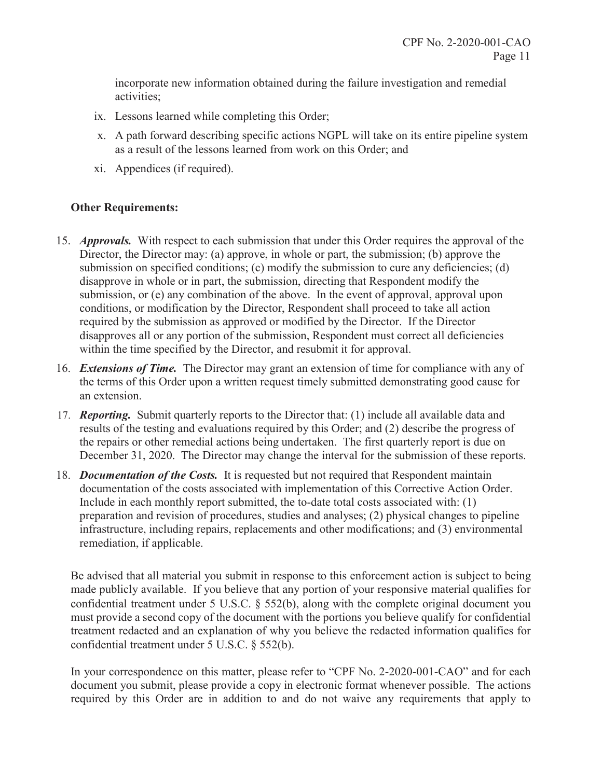incorporate new information obtained during the failure investigation and remedial activities;

- ix. Lessons learned while completing this Order;
- x. A path forward describing specific actions NGPL will take on its entire pipeline system as a result of the lessons learned from work on this Order; and
- xi. Appendices (if required).

# **Other Requirements:**

- 15. *Approvals.* With respect to each submission that under this Order requires the approval of the Director, the Director may: (a) approve, in whole or part, the submission; (b) approve the submission on specified conditions; (c) modify the submission to cure any deficiencies; (d) disapprove in whole or in part, the submission, directing that Respondent modify the submission, or (e) any combination of the above. In the event of approval, approval upon conditions, or modification by the Director, Respondent shall proceed to take all action required by the submission as approved or modified by the Director. If the Director disapproves all or any portion of the submission, Respondent must correct all deficiencies within the time specified by the Director, and resubmit it for approval.
- 16. *Extensions of Time.* The Director may grant an extension of time for compliance with any of the terms of this Order upon a written request timely submitted demonstrating good cause for an extension.
- 17. *Reporting.* Submit quarterly reports to the Director that: (1) include all available data and results of the testing and evaluations required by this Order; and (2) describe the progress of the repairs or other remedial actions being undertaken. The first quarterly report is due on December 31, 2020. The Director may change the interval for the submission of these reports.
- 18. *Documentation of the Costs.* It is requested but not required that Respondent maintain documentation of the costs associated with implementation of this Corrective Action Order. Include in each monthly report submitted, the to-date total costs associated with: (1) preparation and revision of procedures, studies and analyses; (2) physical changes to pipeline infrastructure, including repairs, replacements and other modifications; and (3) environmental remediation, if applicable.

Be advised that all material you submit in response to this enforcement action is subject to being made publicly available. If you believe that any portion of your responsive material qualifies for confidential treatment under 5 U.S.C. § 552(b), along with the complete original document you must provide a second copy of the document with the portions you believe qualify for confidential treatment redacted and an explanation of why you believe the redacted information qualifies for confidential treatment under 5 U.S.C. § 552(b).

In your correspondence on this matter, please refer to "CPF No. 2-2020-001-CAO" and for each document you submit, please provide a copy in electronic format whenever possible. The actions required by this Order are in addition to and do not waive any requirements that apply to